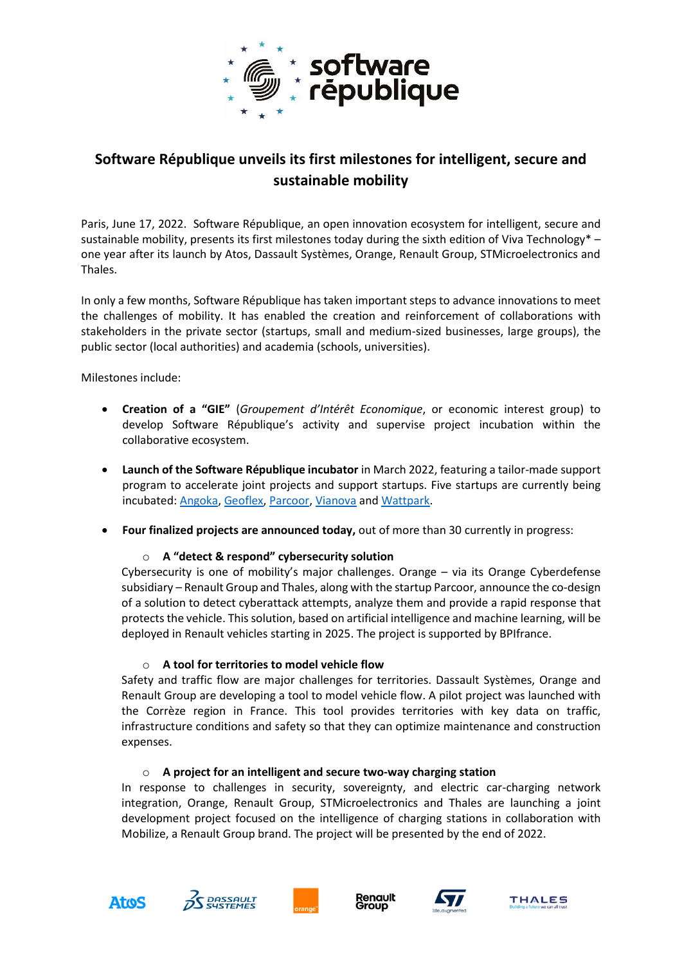

# **Software République unveils its first milestones for intelligent, secure and sustainable mobility**

Paris, June 17, 2022. Software République, an open innovation ecosystem for intelligent, secure and sustainable mobility, presents its first milestones today during the sixth edition of Viva Technology\* one year after its launch by Atos, Dassault Systèmes, Orange, Renault Group, STMicroelectronics and Thales.

In only a few months, Software République has taken important steps to advance innovations to meet the challenges of mobility. It has enabled the creation and reinforcement of collaborations with stakeholders in the private sector (startups, small and medium-sized businesses, large groups), the public sector (local authorities) and academia (schools, universities).

Milestones include:

- **Creation of a "GIE"** (*Groupement d'Intérêt Economique*, or economic interest group) to develop Software République's activity and supervise project incubation within the collaborative ecosystem.
- **Launch of the Software République incubator** in March 2022, featuring a tailor-made support program to accelerate joint projects and support startups. Five startups are currently being incubated: [Angoka,](https://angoka.io/) [Geoflex,](https://www.youtube.com/watch?v=6sX_LFtao0o) [Parcoor,](https://parcoor.com/) [Vianova](https://www.youtube.com/watch?v=lQL_RKh4ouo) and [Wattpark.](https://www.youtube.com/watch?v=HLNEwL6_Qi8)
- **Four finalized projects are announced today,** out of more than 30 currently in progress:

## o **A "detect & respond" cybersecurity solution**

Cybersecurity is one of mobility's major challenges. Orange – via its Orange Cyberdefense subsidiary – Renault Group and Thales, along with the startup Parcoor, announce the co-design of a solution to detect cyberattack attempts, analyze them and provide a rapid response that protects the vehicle. This solution, based on artificial intelligence and machine learning, will be deployed in Renault vehicles starting in 2025. The project is supported by BPIfrance.

## o **A tool for territories to model vehicle flow**

Safety and traffic flow are major challenges for territories. Dassault Systèmes, Orange and Renault Group are developing a tool to model vehicle flow. A pilot project was launched with the Corrèze region in France. This tool provides territories with key data on traffic, infrastructure conditions and safety so that they can optimize maintenance and construction expenses.

## o **A project for an intelligent and secure two-way charging station**

In response to challenges in security, sovereignty, and electric car-charging network integration, Orange, Renault Group, STMicroelectronics and Thales are launching a joint development project focused on the intelligence of charging stations in collaboration with Mobilize, a Renault Group brand. The project will be presented by the end of 2022.









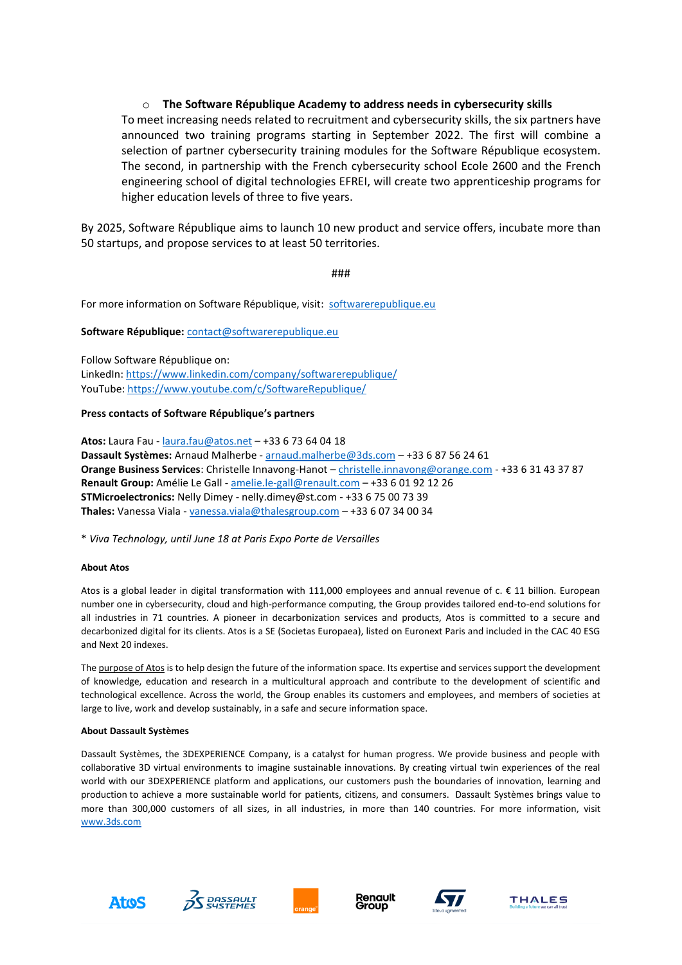## o **The Software République Academy to address needs in cybersecurity skills**

To meet increasing needs related to recruitment and cybersecurity skills, the six partners have announced two training programs starting in September 2022. The first will combine a selection of partner cybersecurity training modules for the Software République ecosystem. The second, in partnership with the French cybersecurity school Ecole 2600 and the French engineering school of digital technologies EFREI, will create two apprenticeship programs for higher education levels of three to five years.

By 2025, Software République aims to launch 10 new product and service offers, incubate more than 50 startups, and propose services to at least 50 territories.

###

For more information on Software République, visit: [softwarerepublique.eu](http://www.softwarerepublique.eu/)

#### **Software République:** [contact@softwarerepublique.eu](mailto:contact@softwarerepublique.eu)

Follow Software République on:

LinkedIn:<https://www.linkedin.com/company/softwarerepublique/> YouTube[: https://www.youtube.com/c/SoftwareRepublique/](https://www.youtube.com/c/SoftwareRepublique/)

#### **Press contacts of Software République's partners**

**Atos:** Laura Fau - [laura.fau@atos.net](mailto:laura.fau@atos.net) – +33 6 73 64 04 18 **Dassault Systèmes:** Arnaud Malherbe - [arnaud.malherbe@3ds.com](mailto:arnaud.malherbe@3ds.com) – +33 6 87 56 24 61 **Orange Business Services**: Christelle Innavong-Hanot – [christelle.innavong@orange.com](mailto:christelle.innavong@orange.com) - +33 6 31 43 37 87 **Renault Group:** Amélie Le Gall - [amelie.le-gall@renault.com](mailto:amelie.le-gall@renault.com) – +33 6 01 92 12 26 **STMicroelectronics:** Nelly Dimey - nelly.dimey@st.com - +33 6 75 00 73 39 **Thales:** Vanessa Viala - [vanessa.viala@thalesgroup.com](mailto:vanessa.viala@thalesgroup.com) – +33 6 07 34 00 34

\* *Viva Technology, until June 18 at Paris Expo Porte de Versailles*

#### **About Atos**

Atos is a global leader in digital transformation with 111,000 employees and annual revenue of  $c \in \{11\}$  billion. European number one in cybersecurity, cloud and high-performance computing, the Group provides tailored end-to-end solutions for all industries in 71 countries. A pioneer in decarbonization services and products, Atos is committed to a secure and decarbonized digital for its clients. Atos is a SE (Societas Europaea), listed on Euronext Paris and included in the CAC 40 ESG and Next 20 indexes.

Th[e purpose of Atos](https://atos.net/en/raison-detre) is to help design the future of the information space. Its expertise and services support the development of knowledge, education and research in a multicultural approach and contribute to the development of scientific and technological excellence. Across the world, the Group enables its customers and employees, and members of societies at large to live, work and develop sustainably, in a safe and secure information space.

#### **About Dassault Systèmes**

Dassault Systèmes, the 3DEXPERIENCE Company, is a catalyst for human progress. We provide business and people with collaborative 3D virtual environments to imagine sustainable innovations. By creating virtual twin experiences of the real world with our 3DEXPERIENCE platform and applications, our customers push the boundaries of innovation, learning and production to achieve a more sustainable world for patients, citizens, and consumers. Dassault Systèmes brings value to more than 300,000 customers of all sizes, in all industries, in more than 140 countries. For more information, visit [www.3ds.com](http://www.3ds.com/)